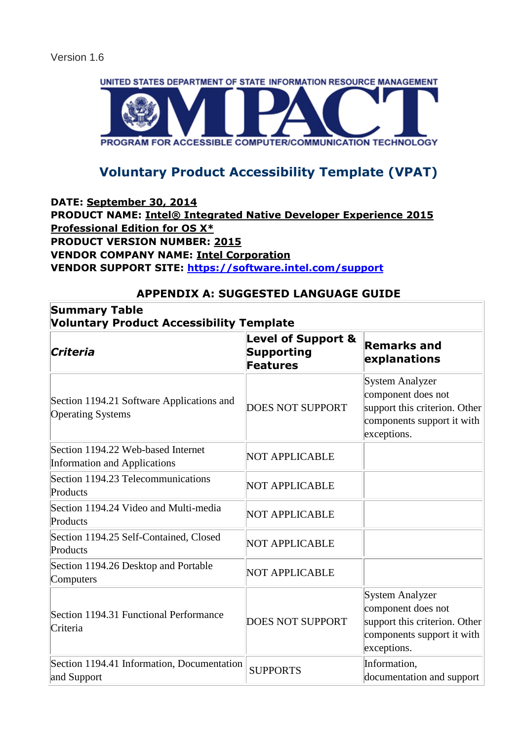

# **Voluntary Product Accessibility Template (VPAT)**

#### **DATE: September 30, 2014 PRODUCT NAME: Intel® Integrated Native Developer Experience 2015 Professional Edition for OS X\* PRODUCT VERSION NUMBER: 2015 VENDOR COMPANY NAME: Intel Corporation VENDOR SUPPORT SITE:<https://software.intel.com/support>**

## **APPENDIX A: SUGGESTED LANGUAGE GUIDE**

| <b>Summary Table</b><br><b>Voluntary Product Accessibility Template</b>   |                                                                |                                                                                                                            |
|---------------------------------------------------------------------------|----------------------------------------------------------------|----------------------------------------------------------------------------------------------------------------------------|
| Criteria                                                                  | <b>Level of Support &amp;</b><br><b>Supporting</b><br>Features | <b>Remarks and</b><br>explanations                                                                                         |
| Section 1194.21 Software Applications and<br><b>Operating Systems</b>     | <b>DOES NOT SUPPORT</b>                                        | <b>System Analyzer</b><br>component does not<br>support this criterion. Other<br>components support it with<br>exceptions. |
| Section 1194.22 Web-based Internet<br><b>Information and Applications</b> | NOT APPLICABLE                                                 |                                                                                                                            |
| Section 1194.23 Telecommunications<br>Products                            | <b>NOT APPLICABLE</b>                                          |                                                                                                                            |
| Section 1194.24 Video and Multi-media<br>Products                         | NOT APPLICABLE                                                 |                                                                                                                            |
| Section 1194.25 Self-Contained, Closed<br>Products                        | <b>NOT APPLICABLE</b>                                          |                                                                                                                            |
| Section 1194.26 Desktop and Portable<br>Computers                         | <b>NOT APPLICABLE</b>                                          |                                                                                                                            |
| Section 1194.31 Functional Performance<br>Criteria                        | <b>DOES NOT SUPPORT</b>                                        | <b>System Analyzer</b><br>component does not<br>support this criterion. Other<br>components support it with<br>exceptions. |
| Section 1194.41 Information, Documentation<br>and Support                 | <b>SUPPORTS</b>                                                | Information,<br>documentation and support                                                                                  |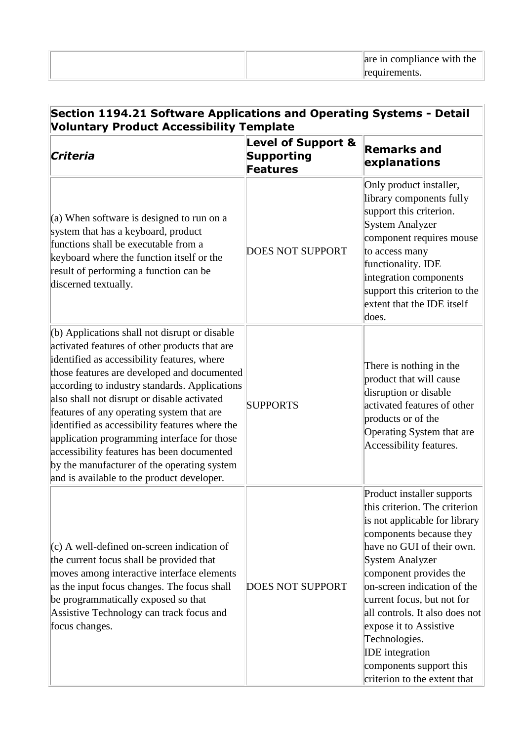| are in compliance with the |
|----------------------------|
| requirements.              |

| Section 1194.21 Software Applications and Operating Systems - Detail<br><b>Voluntary Product Accessibility Template</b>                                                                                                                                                                                                                                                                                                                                                                                                                                                                  |                                                                       |                                                                                                                                                                                                                                                                                                                                                                                                                                         |
|------------------------------------------------------------------------------------------------------------------------------------------------------------------------------------------------------------------------------------------------------------------------------------------------------------------------------------------------------------------------------------------------------------------------------------------------------------------------------------------------------------------------------------------------------------------------------------------|-----------------------------------------------------------------------|-----------------------------------------------------------------------------------------------------------------------------------------------------------------------------------------------------------------------------------------------------------------------------------------------------------------------------------------------------------------------------------------------------------------------------------------|
| Criteria                                                                                                                                                                                                                                                                                                                                                                                                                                                                                                                                                                                 | <b>Level of Support &amp;</b><br><b>Supporting</b><br><b>Features</b> | <b>Remarks and</b><br>explanations                                                                                                                                                                                                                                                                                                                                                                                                      |
| (a) When software is designed to run on a<br>system that has a keyboard, product<br>functions shall be executable from a<br>keyboard where the function itself or the<br>result of performing a function can be<br>discerned textually.                                                                                                                                                                                                                                                                                                                                                  | <b>DOES NOT SUPPORT</b>                                               | Only product installer,<br>library components fully<br>support this criterion.<br><b>System Analyzer</b><br>component requires mouse<br>to access many<br>functionality. IDE<br>integration components<br>support this criterion to the<br>extent that the IDE itself<br>does.                                                                                                                                                          |
| $($ b) Applications shall not disrupt or disable<br>activated features of other products that are<br>identified as accessibility features, where<br>those features are developed and documented<br>according to industry standards. Applications<br>also shall not disrupt or disable activated<br>features of any operating system that are<br>identified as accessibility features where the<br>application programming interface for those<br>accessibility features has been documented<br>by the manufacturer of the operating system<br>and is available to the product developer. | <b>SUPPORTS</b>                                                       | There is nothing in the<br>product that will cause<br>disruption or disable<br>activated features of other<br>products or of the<br>Operating System that are<br>Accessibility features.                                                                                                                                                                                                                                                |
| $(c)$ A well-defined on-screen indication of<br>the current focus shall be provided that<br>moves among interactive interface elements<br>as the input focus changes. The focus shall<br>be programmatically exposed so that<br>Assistive Technology can track focus and<br>focus changes.                                                                                                                                                                                                                                                                                               | <b>DOES NOT SUPPORT</b>                                               | Product installer supports<br>this criterion. The criterion<br>is not applicable for library<br>components because they<br>have no GUI of their own.<br><b>System Analyzer</b><br>component provides the<br>on-screen indication of the<br>current focus, but not for<br>all controls. It also does not<br>expose it to Assistive<br>Technologies.<br><b>IDE</b> integration<br>components support this<br>criterion to the extent that |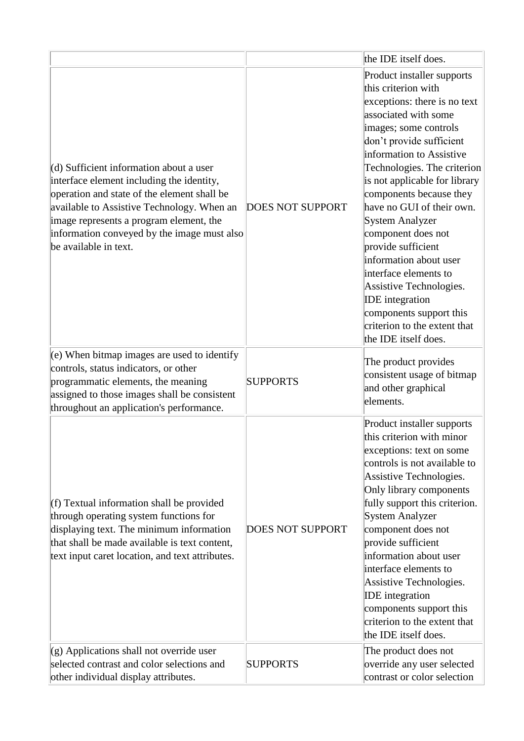|                                                                                                                                                                                                                                                                                                      |                         | the IDE itself does.                                                                                                                                                                                                                                                                                                                                                                                                                                                                                                                                                                |
|------------------------------------------------------------------------------------------------------------------------------------------------------------------------------------------------------------------------------------------------------------------------------------------------------|-------------------------|-------------------------------------------------------------------------------------------------------------------------------------------------------------------------------------------------------------------------------------------------------------------------------------------------------------------------------------------------------------------------------------------------------------------------------------------------------------------------------------------------------------------------------------------------------------------------------------|
| (d) Sufficient information about a user<br>interface element including the identity,<br>operation and state of the element shall be<br>available to Assistive Technology. When an<br>image represents a program element, the<br>information conveyed by the image must also<br>be available in text. | <b>DOES NOT SUPPORT</b> | Product installer supports<br>this criterion with<br>exceptions: there is no text<br>associated with some<br>images; some controls<br>don't provide sufficient<br>information to Assistive<br>Technologies. The criterion<br>is not applicable for library<br>components because they<br>have no GUI of their own.<br><b>System Analyzer</b><br>component does not<br>provide sufficient<br>information about user<br>interface elements to<br>Assistive Technologies.<br><b>IDE</b> integration<br>components support this<br>criterion to the extent that<br>the IDE itself does. |
| $(e)$ When bitmap images are used to identify<br>controls, status indicators, or other<br>programmatic elements, the meaning<br>assigned to those images shall be consistent<br>throughout an application's performance.                                                                             | <b>SUPPORTS</b>         | The product provides<br>consistent usage of bitmap<br>and other graphical<br>elements.                                                                                                                                                                                                                                                                                                                                                                                                                                                                                              |
| $(f)$ Textual information shall be provided<br>through operating system functions for<br>displaying text. The minimum information<br>that shall be made available is text content,<br>text input caret location, and text attributes.                                                                | <b>DOES NOT SUPPORT</b> | Product installer supports<br>this criterion with minor<br>exceptions: text on some<br>controls is not available to<br>Assistive Technologies.<br>Only library components<br>fully support this criterion.<br>System Analyzer<br>component does not<br>provide sufficient<br>information about user<br>interface elements to<br>Assistive Technologies.<br><b>IDE</b> integration<br>components support this<br>criterion to the extent that<br>the IDE itself does.                                                                                                                |
| $(g)$ Applications shall not override user<br>selected contrast and color selections and<br>other individual display attributes.                                                                                                                                                                     | <b>SUPPORTS</b>         | The product does not<br>override any user selected<br>contrast or color selection                                                                                                                                                                                                                                                                                                                                                                                                                                                                                                   |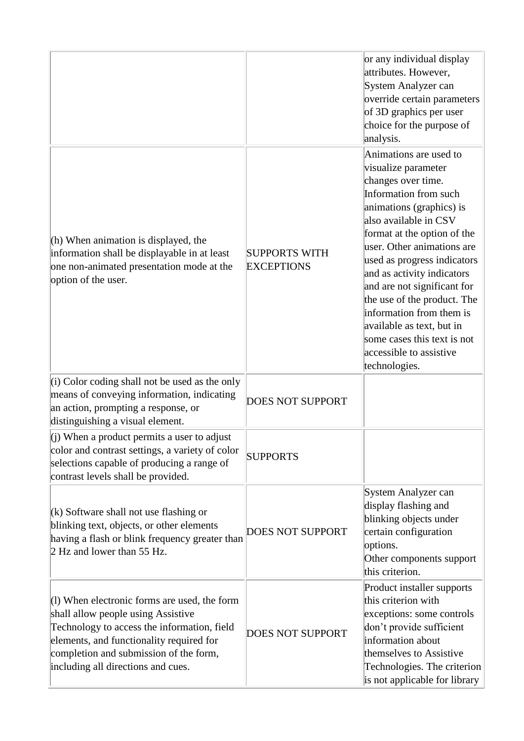|                                                                                                                                                                                                                                                                 |                                           | or any individual display<br>attributes. However,<br>System Analyzer can<br>override certain parameters<br>of 3D graphics per user<br>choice for the purpose of<br>analysis.                                                                                                                                                                                                                                                                                                  |
|-----------------------------------------------------------------------------------------------------------------------------------------------------------------------------------------------------------------------------------------------------------------|-------------------------------------------|-------------------------------------------------------------------------------------------------------------------------------------------------------------------------------------------------------------------------------------------------------------------------------------------------------------------------------------------------------------------------------------------------------------------------------------------------------------------------------|
| $(h)$ When animation is displayed, the<br>information shall be displayable in at least<br>one non-animated presentation mode at the<br>option of the user.                                                                                                      | <b>SUPPORTS WITH</b><br><b>EXCEPTIONS</b> | Animations are used to<br>visualize parameter<br>changes over time.<br>Information from such<br>animations (graphics) is<br>also available in CSV<br>format at the option of the<br>user. Other animations are<br>used as progress indicators<br>and as activity indicators<br>and are not significant for<br>the use of the product. The<br>information from them is<br>available as text, but in<br>some cases this text is not<br>accessible to assistive<br>technologies. |
| $(i)$ Color coding shall not be used as the only<br>means of conveying information, indicating<br>an action, prompting a response, or<br>distinguishing a visual element.                                                                                       | <b>DOES NOT SUPPORT</b>                   |                                                                                                                                                                                                                                                                                                                                                                                                                                                                               |
| (i) When a product permits a user to adjust<br>color and contrast settings, a variety of color<br>selections capable of producing a range of<br>contrast levels shall be provided.                                                                              | <b>SUPPORTS</b>                           |                                                                                                                                                                                                                                                                                                                                                                                                                                                                               |
| $(k)$ Software shall not use flashing or<br>blinking text, objects, or other elements<br>having a flash or blink frequency greater than<br>2 Hz and lower than 55 Hz.                                                                                           | <b>DOES NOT SUPPORT</b>                   | System Analyzer can<br>display flashing and<br>blinking objects under<br>certain configuration<br>options.<br>Other components support<br>this criterion.                                                                                                                                                                                                                                                                                                                     |
| $(1)$ When electronic forms are used, the form<br>shall allow people using Assistive<br>Technology to access the information, field<br>elements, and functionality required for<br>completion and submission of the form,<br>including all directions and cues. | <b>DOES NOT SUPPORT</b>                   | Product installer supports<br>this criterion with<br>exceptions: some controls<br>don't provide sufficient<br>information about<br>themselves to Assistive<br>Technologies. The criterion<br>is not applicable for library                                                                                                                                                                                                                                                    |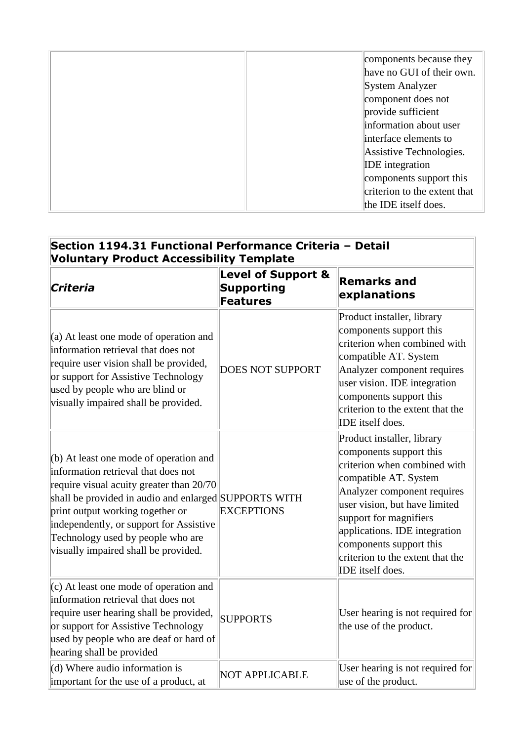| components because they      |
|------------------------------|
| have no GUI of their own.    |
| System Analyzer              |
| component does not           |
| provide sufficient           |
| information about user       |
| interface elements to        |
| Assistive Technologies.      |
| <b>IDE</b> integration       |
| components support this      |
| criterion to the extent that |
| the IDE itself does.         |

# **Section 1194.31 Functional Performance Criteria – Detail Voluntary Product Accessibility Template**

| Criteria                                                                                                                                                                                                                                                                                                                                         | <b>Level of Support &amp;</b><br>Supporting<br><b>Features</b> | <b>Remarks and</b><br>explanations                                                                                                                                                                                                                                                                                           |
|--------------------------------------------------------------------------------------------------------------------------------------------------------------------------------------------------------------------------------------------------------------------------------------------------------------------------------------------------|----------------------------------------------------------------|------------------------------------------------------------------------------------------------------------------------------------------------------------------------------------------------------------------------------------------------------------------------------------------------------------------------------|
| $(a)$ At least one mode of operation and<br>information retrieval that does not<br>require user vision shall be provided,<br>or support for Assistive Technology<br>used by people who are blind or<br>visually impaired shall be provided.                                                                                                      | <b>DOES NOT SUPPORT</b>                                        | Product installer, library<br>components support this<br>criterion when combined with<br>compatible AT. System<br>Analyzer component requires<br>user vision. IDE integration<br>components support this<br>criterion to the extent that the<br>IDE itself does.                                                             |
| $(b)$ At least one mode of operation and<br>information retrieval that does not<br>require visual acuity greater than 20/70<br>shall be provided in audio and enlarged SUPPORTS WITH<br>print output working together or<br>independently, or support for Assistive<br>Technology used by people who are<br>visually impaired shall be provided. | <b>EXCEPTIONS</b>                                              | Product installer, library<br>components support this<br>criterion when combined with<br>compatible AT. System<br>Analyzer component requires<br>user vision, but have limited<br>support for magnifiers<br>applications. IDE integration<br>components support this<br>criterion to the extent that the<br>IDE itself does. |
| $(c)$ At least one mode of operation and<br>information retrieval that does not<br>require user hearing shall be provided,<br>or support for Assistive Technology<br>used by people who are deaf or hard of<br>hearing shall be provided                                                                                                         | <b>SUPPORTS</b>                                                | User hearing is not required for<br>the use of the product.                                                                                                                                                                                                                                                                  |
| $(d)$ Where audio information is<br>important for the use of a product, at                                                                                                                                                                                                                                                                       | <b>NOT APPLICABLE</b>                                          | User hearing is not required for<br>use of the product.                                                                                                                                                                                                                                                                      |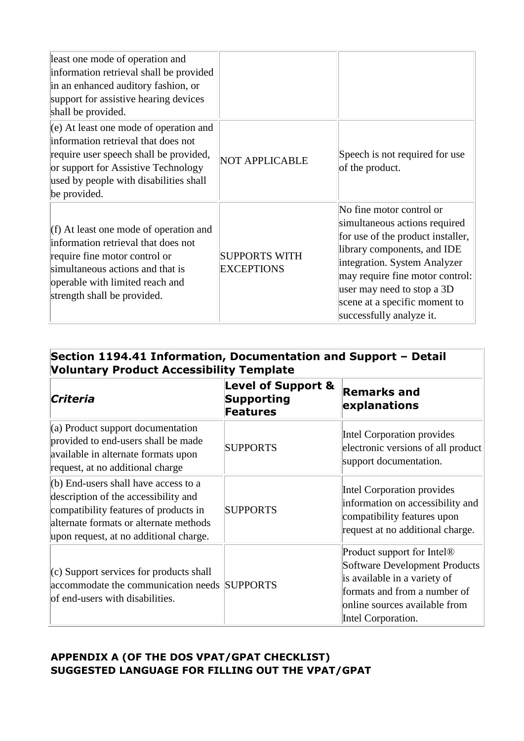| least one mode of operation and<br>information retrieval shall be provided<br>in an enhanced auditory fashion, or<br>support for assistive hearing devices<br>shall be provided.                                           |                                           |                                                                                                                                                                                                                                                                                             |
|----------------------------------------------------------------------------------------------------------------------------------------------------------------------------------------------------------------------------|-------------------------------------------|---------------------------------------------------------------------------------------------------------------------------------------------------------------------------------------------------------------------------------------------------------------------------------------------|
| $(e)$ At least one mode of operation and<br>information retrieval that does not<br>require user speech shall be provided,<br>or support for Assistive Technology<br>used by people with disabilities shall<br>be provided. | <b>NOT APPLICABLE</b>                     | Speech is not required for use<br>of the product.                                                                                                                                                                                                                                           |
| $(f)$ At least one mode of operation and<br>information retrieval that does not<br>require fine motor control or<br>simultaneous actions and that is<br>operable with limited reach and<br>strength shall be provided.     | <b>SUPPORTS WITH</b><br><b>EXCEPTIONS</b> | No fine motor control or<br>simultaneous actions required<br>for use of the product installer,<br>library components, and IDE<br>integration. System Analyzer<br>may require fine motor control:<br>user may need to stop a 3D<br>scene at a specific moment to<br>successfully analyze it. |

# **Section 1194.41 Information, Documentation and Support – Detail Voluntary Product Accessibility Template**

| Criteria                                                                                                                                                                                                  | <b>Level of Support &amp;</b><br>Supporting<br><b>Features</b> | <b>Remarks and</b><br>explanations                                                                                                                                                                    |
|-----------------------------------------------------------------------------------------------------------------------------------------------------------------------------------------------------------|----------------------------------------------------------------|-------------------------------------------------------------------------------------------------------------------------------------------------------------------------------------------------------|
| $(a)$ Product support documentation<br>provided to end-users shall be made<br>available in alternate formats upon<br>request, at no additional charge                                                     | <b>SUPPORTS</b>                                                | Intel Corporation provides<br>electronic versions of all product<br>support documentation.                                                                                                            |
| (b) End-users shall have access to a<br>description of the accessibility and<br>compatibility features of products in<br>alternate formats or alternate methods<br>upon request, at no additional charge. | <b>SUPPORTS</b>                                                | Intel Corporation provides<br>information on accessibility and<br>compatibility features upon<br>request at no additional charge.                                                                     |
| $(c)$ Support services for products shall<br>accommodate the communication needs SUPPORTS<br>of end-users with disabilities.                                                                              |                                                                | Product support for Intel <sup>®</sup><br><b>Software Development Products</b><br>is available in a variety of<br>formats and from a number of<br>online sources available from<br>Intel Corporation. |

# **APPENDIX A (OF THE DOS VPAT/GPAT CHECKLIST) SUGGESTED LANGUAGE FOR FILLING OUT THE VPAT/GPAT**